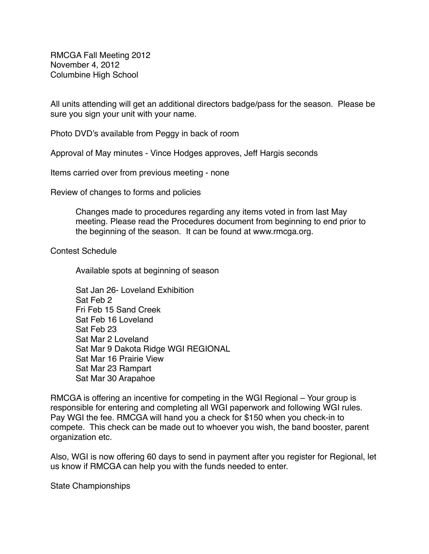RMCGA Fall Meeting 2012 November 4, 2012 Columbine High School

All units attending will get an additional directors badge/pass for the season. Please be sure you sign your unit with your name.

Photo DVD's available from Peggy in back of room

Approval of May minutes - Vince Hodges approves, Jeff Hargis seconds

Items carried over from previous meeting - none

Review of changes to forms and policies

Changes made to procedures regarding any items voted in from last May meeting. Please read the Procedures document from beginning to end prior to the beginning of the season. It can be found at www.rmcga.org.

Contest Schedule

Available spots at beginning of season

Sat Jan 26- Loveland Exhibition Sat Feb 2 Fri Feb 15 Sand Creek Sat Feb 16 Loveland Sat Feb 23 Sat Mar 2 Loveland Sat Mar 9 Dakota Ridge WGI REGIONAL Sat Mar 16 Prairie View Sat Mar 23 Rampart Sat Mar 30 Arapahoe

RMCGA is offering an incentive for competing in the WGI Regional – Your group is responsible for entering and completing all WGI paperwork and following WGI rules. Pay WGI the fee. RMCGA will hand you a check for \$150 when you check-in to compete. This check can be made out to whoever you wish, the band booster, parent organization etc.

Also, WGI is now offering 60 days to send in payment after you register for Regional, let us know if RMCGA can help you with the funds needed to enter.

State Championships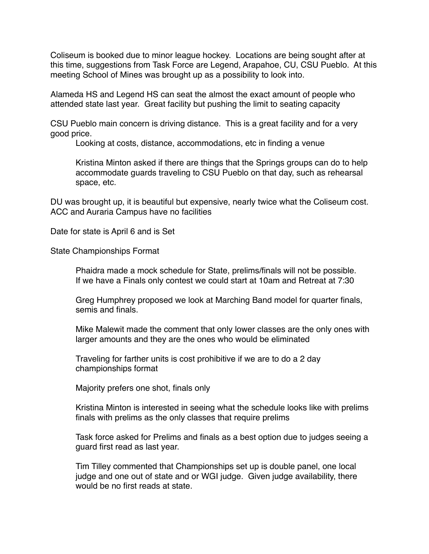Coliseum is booked due to minor league hockey. Locations are being sought after at this time, suggestions from Task Force are Legend, Arapahoe, CU, CSU Pueblo. At this meeting School of Mines was brought up as a possibility to look into.

Alameda HS and Legend HS can seat the almost the exact amount of people who attended state last year. Great facility but pushing the limit to seating capacity

CSU Pueblo main concern is driving distance. This is a great facility and for a very good price.

Looking at costs, distance, accommodations, etc in finding a venue

Kristina Minton asked if there are things that the Springs groups can do to help accommodate guards traveling to CSU Pueblo on that day, such as rehearsal space, etc.

DU was brought up, it is beautiful but expensive, nearly twice what the Coliseum cost. ACC and Auraria Campus have no facilities

Date for state is April 6 and is Set

State Championships Format

Phaidra made a mock schedule for State, prelims/finals will not be possible. If we have a Finals only contest we could start at 10am and Retreat at 7:30

Greg Humphrey proposed we look at Marching Band model for quarter finals, semis and finals.

Mike Malewit made the comment that only lower classes are the only ones with larger amounts and they are the ones who would be eliminated

Traveling for farther units is cost prohibitive if we are to do a 2 day championships format

Majority prefers one shot, finals only

Kristina Minton is interested in seeing what the schedule looks like with prelims finals with prelims as the only classes that require prelims

Task force asked for Prelims and finals as a best option due to judges seeing a guard first read as last year.

Tim Tilley commented that Championships set up is double panel, one local judge and one out of state and or WGI judge. Given judge availability, there would be no first reads at state.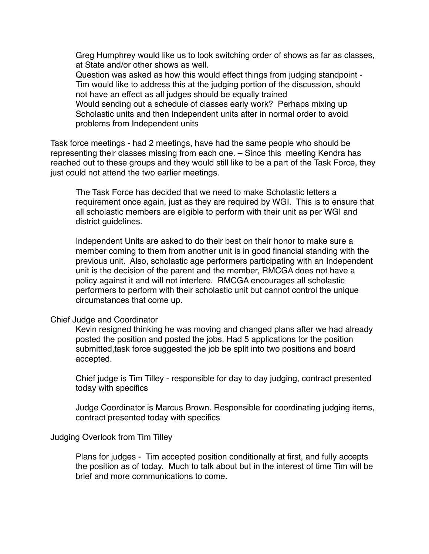Greg Humphrey would like us to look switching order of shows as far as classes, at State and/or other shows as well.

Question was asked as how this would effect things from judging standpoint - Tim would like to address this at the judging portion of the discussion, should not have an effect as all judges should be equally trained

Would sending out a schedule of classes early work? Perhaps mixing up Scholastic units and then Independent units after in normal order to avoid problems from Independent units

Task force meetings - had 2 meetings, have had the same people who should be representing their classes missing from each one. – Since this meeting Kendra has reached out to these groups and they would still like to be a part of the Task Force, they just could not attend the two earlier meetings.

The Task Force has decided that we need to make Scholastic letters a requirement once again, just as they are required by WGI. This is to ensure that all scholastic members are eligible to perform with their unit as per WGI and district guidelines.

Independent Units are asked to do their best on their honor to make sure a member coming to them from another unit is in good financial standing with the previous unit. Also, scholastic age performers participating with an Independent unit is the decision of the parent and the member, RMCGA does not have a policy against it and will not interfere. RMCGA encourages all scholastic performers to perform with their scholastic unit but cannot control the unique circumstances that come up.

## Chief Judge and Coordinator

 Kevin resigned thinking he was moving and changed plans after we had already posted the position and posted the jobs. Had 5 applications for the position submitted,task force suggested the job be split into two positions and board accepted.

Chief judge is Tim Tilley - responsible for day to day judging, contract presented today with specifics

Judge Coordinator is Marcus Brown. Responsible for coordinating judging items, contract presented today with specifics

## Judging Overlook from Tim Tilley

Plans for judges - Tim accepted position conditionally at first, and fully accepts the position as of today. Much to talk about but in the interest of time Tim will be brief and more communications to come.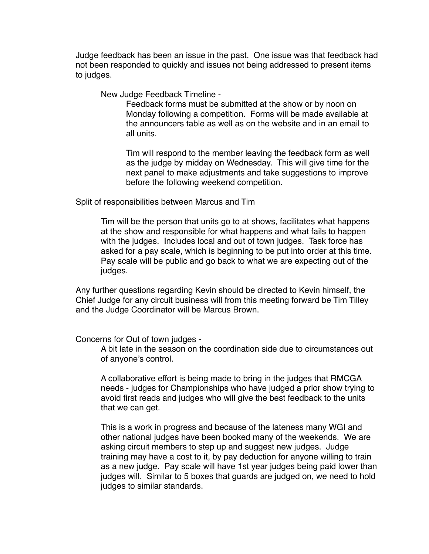Judge feedback has been an issue in the past. One issue was that feedback had not been responded to quickly and issues not being addressed to present items to judges.

New Judge Feedback Timeline -

Feedback forms must be submitted at the show or by noon on Monday following a competition. Forms will be made available at the announcers table as well as on the website and in an email to all units.

Tim will respond to the member leaving the feedback form as well as the judge by midday on Wednesday. This will give time for the hext panel to make adjustments and take suggestions to improve before the following weekend competition.

Split of responsibilities between Marcus and Tim

Tim will be the person that units go to at shows, facilitates what happens at the show and responsible for what happens and what fails to happen with the judges. Includes local and out of town judges. Task force has asked for a pay scale, which is beginning to be put into order at this time. Pay scale will be public and go back to what we are expecting out of the judges.

Any further questions regarding Kevin should be directed to Kevin himself, the Chief Judge for any circuit business will from this meeting forward be Tim Tilley and the Judge Coordinator will be Marcus Brown.

## Concerns for Out of town judges -

A bit late in the season on the coordination side due to circumstances out of anyone's control.

A collaborative effort is being made to bring in the judges that RMCGA needs - judges for Championships who have judged a prior show trying to avoid first reads and judges who will give the best feedback to the units that we can get.

This is a work in progress and because of the lateness many WGI and other national judges have been booked many of the weekends. We are asking circuit members to step up and suggest new judges. Judge training may have a cost to it, by pay deduction for anyone willing to train as a new judge. Pay scale will have 1st year judges being paid lower than judges will. Similar to 5 boxes that guards are judged on, we need to hold judges to similar standards.